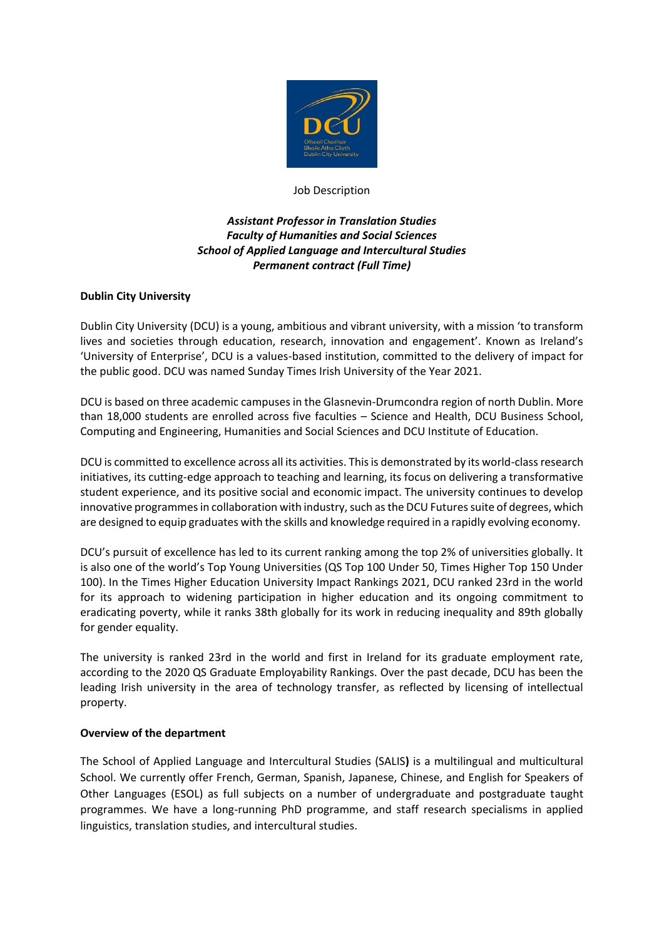

#### Job Description

# *Assistant Professor in Translation Studies Faculty of Humanities and Social Sciences School of Applied Language and Intercultural Studies Permanent contract (Full Time)*

## **Dublin City University**

Dublin City University (DCU) is a young, ambitious and vibrant university, with a mission 'to transform lives and societies through education, research, innovation and engagement'. Known as Ireland's 'University of Enterprise', DCU is a values-based institution, committed to the delivery of impact for the public good. DCU was named Sunday Times Irish University of the Year 2021.

DCU is based on three academic campuses in the Glasnevin-Drumcondra region of north Dublin. More than 18,000 students are enrolled across five faculties – Science and Health, DCU Business School, Computing and Engineering, Humanities and Social Sciences and DCU Institute of Education.

DCU is committed to excellence across all its activities. This is demonstrated by its world-class research initiatives, its cutting-edge approach to teaching and learning, its focus on delivering a transformative student experience, and its positive social and economic impact. The university continues to develop innovative programmes in collaboration with industry, such as the DCU Futures suite of degrees, which are designed to equip graduates with the skills and knowledge required in a rapidly evolving economy.

DCU's pursuit of excellence has led to its current ranking among the top 2% of universities globally. It is also one of the world's Top Young Universities (QS Top 100 Under 50, Times Higher Top 150 Under 100). In the Times Higher Education University Impact Rankings 2021, DCU ranked 23rd in the world for its approach to widening participation in higher education and its ongoing commitment to eradicating poverty, while it ranks 38th globally for its work in reducing inequality and 89th globally for gender equality.

The university is ranked 23rd in the world and first in Ireland for its graduate employment rate, according to the 2020 QS Graduate Employability Rankings. Over the past decade, DCU has been the leading Irish university in the area of technology transfer, as reflected by licensing of intellectual property.

#### **Overview of the department**

The School of Applied Language and Intercultural Studies (SALIS**)** is a multilingual and multicultural School. We currently offer French, German, Spanish, Japanese, Chinese, and English for Speakers of Other Languages (ESOL) as full subjects on a number of undergraduate and postgraduate taught programmes. We have a long-running PhD programme, and staff research specialisms in applied linguistics, translation studies, and intercultural studies.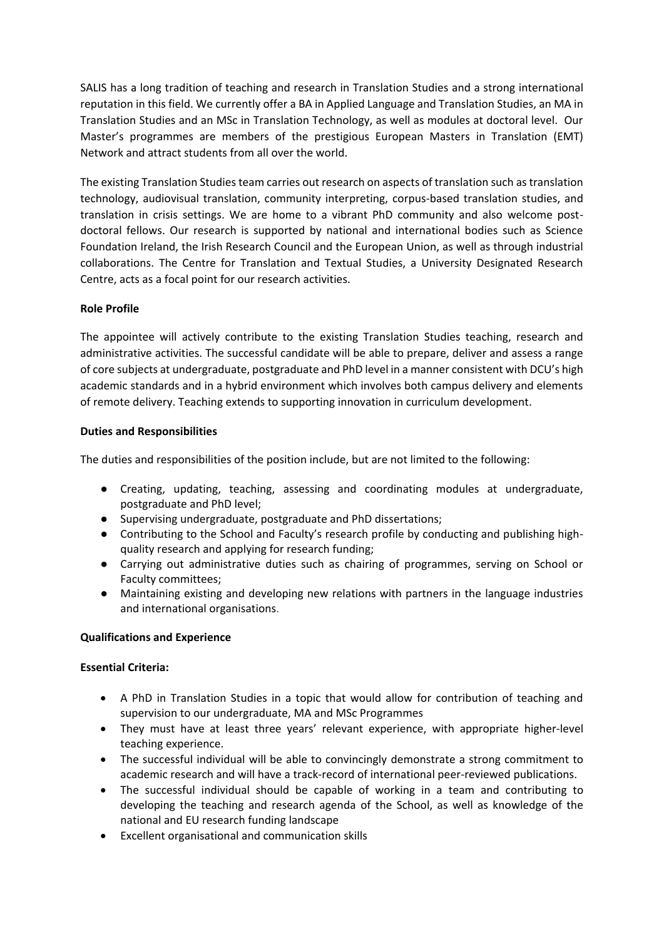SALIS has a long tradition of teaching and research in Translation Studies and a strong international reputation in this field. We currently offer a BA in Applied Language and Translation Studies, an MA in Translation Studies and an MSc in Translation Technology, as well as modules at doctoral level. Our Master's programmes are members of the prestigious European Masters in Translation (EMT) Network and attract students from all over the world.

The existing Translation Studies team carries out research on aspects of translation such as translation technology, audiovisual translation, community interpreting, corpus-based translation studies, and translation in crisis settings. We are home to a vibrant PhD community and also welcome postdoctoral fellows. Our research is supported by national and international bodies such as Science Foundation Ireland, the Irish Research Council and the European Union, as well as through industrial collaborations. The Centre for Translation and Textual Studies, a University Designated Research Centre, acts as a focal point for our research activities.

## **Role Profile**

The appointee will actively contribute to the existing Translation Studies teaching, research and administrative activities. The successful candidate will be able to prepare, deliver and assess a range of core subjects at undergraduate, postgraduate and PhD level in a manner consistent with DCU's high academic standards and in a hybrid environment which involves both campus delivery and elements of remote delivery. Teaching extends to supporting innovation in curriculum development.

## **Duties and Responsibilities**

The duties and responsibilities of the position include, but are not limited to the following:

- Creating, updating, teaching, assessing and coordinating modules at undergraduate, postgraduate and PhD level;
- Supervising undergraduate, postgraduate and PhD dissertations;
- Contributing to the School and Faculty's research profile by conducting and publishing highquality research and applying for research funding;
- Carrying out administrative duties such as chairing of programmes, serving on School or Faculty committees;
- Maintaining existing and developing new relations with partners in the language industries and international organisations.

# **Qualifications and Experience**

#### **Essential Criteria:**

- A PhD in Translation Studies in a topic that would allow for contribution of teaching and supervision to our undergraduate, MA and MSc Programmes
- They must have at least three years' relevant experience, with appropriate higher-level teaching experience.
- The successful individual will be able to convincingly demonstrate a strong commitment to academic research and will have a track-record of international peer-reviewed publications.
- The successful individual should be capable of working in a team and contributing to developing the teaching and research agenda of the School, as well as knowledge of the national and EU research funding landscape
- Excellent organisational and communication skills